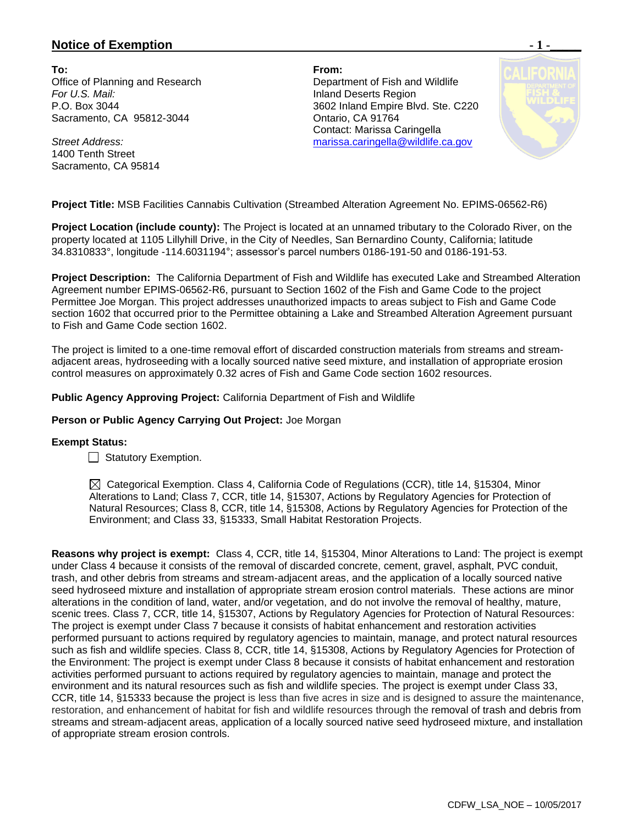## **Notice of Exemption**  $-1$  **-**

**To: From:**  Office of Planning and Research Department of Fish and Wildlife **For U.S. Mail:** Inland Deserts Region Sacramento, CA 95812-3044 Ontario, CA 91764

*Street Address:* 1400 Tenth Street Sacramento, CA 95814

P.O. Box 3044 3602 Inland Empire Blvd. Ste. C220 Contact: Marissa Caringella [marissa.caringella@wildlife.ca.gov](mailto:marissa.caringella@wildlife.ca.gov)



**Project Title:** MSB Facilities Cannabis Cultivation (Streambed Alteration Agreement No. EPIMS-06562-R6)

**Project Location (include county):** The Project is located at an unnamed tributary to the Colorado River, on the property located at 1105 Lillyhill Drive, in the City of Needles, San Bernardino County, California; latitude 34.8310833°, longitude -114.6031194°; assessor's parcel numbers 0186-191-50 and 0186-191-53.

**Project Description:** The California Department of Fish and Wildlife has executed Lake and Streambed Alteration Agreement number EPIMS-06562-R6, pursuant to Section 1602 of the Fish and Game Code to the project Permittee Joe Morgan. This project addresses unauthorized impacts to areas subject to Fish and Game Code section 1602 that occurred prior to the Permittee obtaining a Lake and Streambed Alteration Agreement pursuant to Fish and Game Code section 1602.

The project is limited to a one-time removal effort of discarded construction materials from streams and streamadjacent areas, hydroseeding with a locally sourced native seed mixture, and installation of appropriate erosion control measures on approximately 0.32 acres of Fish and Game Code section 1602 resources.

**Public Agency Approving Project:** California Department of Fish and Wildlife

**Person or Public Agency Carrying Out Project:** Joe Morgan

## **Exempt Status:**

Statutory Exemption.

 $\boxtimes$  Categorical Exemption. Class 4, California Code of Regulations (CCR), title 14, §15304, Minor Alterations to Land; Class 7, CCR, title 14, §15307, Actions by Regulatory Agencies for Protection of Natural Resources; Class 8, CCR, title 14, §15308, Actions by Regulatory Agencies for Protection of the Environment; and Class 33, §15333, Small Habitat Restoration Projects.

**Reasons why project is exempt:** Class 4, CCR, title 14, §15304, Minor Alterations to Land: The project is exempt under Class 4 because it consists of the removal of discarded concrete, cement, gravel, asphalt, PVC conduit, trash, and other debris from streams and stream-adjacent areas, and the application of a locally sourced native seed hydroseed mixture and installation of appropriate stream erosion control materials. These actions are minor alterations in the condition of land, water, and/or vegetation, and do not involve the removal of healthy, mature, scenic trees. Class 7, CCR, title 14, §15307, Actions by Regulatory Agencies for Protection of Natural Resources: The project is exempt under Class 7 because it consists of habitat enhancement and restoration activities performed pursuant to actions required by regulatory agencies to maintain, manage, and protect natural resources such as fish and wildlife species. Class 8, CCR, title 14, §15308, Actions by Regulatory Agencies for Protection of the Environment: The project is exempt under Class 8 because it consists of habitat enhancement and restoration activities performed pursuant to actions required by regulatory agencies to maintain, manage and protect the environment and its natural resources such as fish and wildlife species. The project is exempt under Class 33, CCR, title 14, §15333 because the project is less than five acres in size and is designed to assure the maintenance, restoration, and enhancement of habitat for fish and wildlife resources through the removal of trash and debris from streams and stream-adjacent areas, application of a locally sourced native seed hydroseed mixture, and installation of appropriate stream erosion controls.